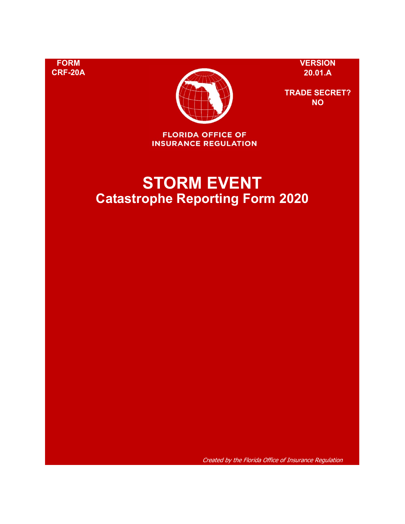**FORM VERSION**



**TRADE SECRET? NO**

**FLORIDA OFFICE OF INSURANCE REGULATION** 

# **STORM EVENT Catastrophe Reporting Form 2020**

Created by the Florida Office of Insurance Regulation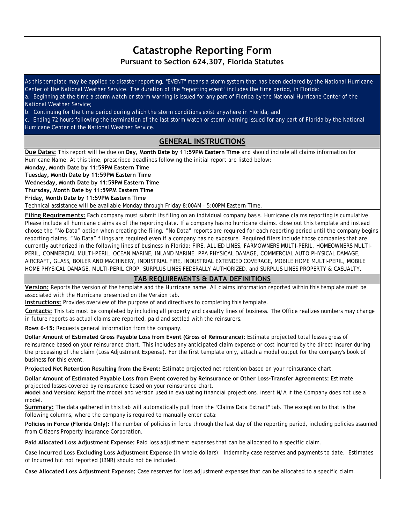# **Catastrophe Reporting Form**

**Pursuant to Section 624.307, Florida Statutes**

As this template may be applied to disaster reporting, "EVENT" means a storm system that has been declared by the National Hurricane Center of the National Weather Service. The duration of the "reporting event" includes the time period, in Florida: a. Beginning at the time a storm watch or storm warning is issued for any part of Florida by the National Hurricane Center of the National Weather Service;

b. Continuing for the time period during which the storm conditions exist anywhere in Florida; and

c. Ending 72 hours following the termination of the last storm watch or storm warning issued for any part of Florida by the National Hurricane Center of the National Weather Service.

# **GENERAL INSTRUCTIONS**

**Due Dates:** This report will be due on **Day, Month Date by 11:59PM Eastern Time** and should include all claims information for Hurricane Name. At this time, prescribed deadlines following the initial report are listed below:

**Monday, Month Date by 11:59PM Eastern Time** 

**Tuesday, Month Date by 11:59PM Eastern Time** 

**Wednesday, Month Date by 11:59PM Eastern Time** 

**Thursday, Month Date by 11:59PM Eastern Time** 

**Friday, Month Date by 11:59PM Eastern Time** 

Technical assistance will be available Monday through Friday 8:00AM - 5:00PM Eastern Time.

**Filing Requirements:** Each company must submit its filing on an individual company basis. Hurricane claims reporting is cumulative. Please include all hurricane claims as of the reporting date. If a company has no hurricane claims, close out this template and instead choose the "No Data" option when creating the filing. "No Data" reports are required for each reporting period until the company begins reporting claims. "No Data" filings are required even if a company has no exposure. Required filers include those companies that are currently authorized in the following lines of business in Florida: FIRE, ALLIED LINES, FARMOWNERS MULTI-PERIL, HOMEOWNERS MULTI-PERIL, COMMERCIAL MULTI-PERIL, OCEAN MARINE, INLAND MARINE, PPA PHYSICAL DAMAGE, COMMERCIAL AUTO PHYSICAL DAMAGE, AIRCRAFT, GLASS, BOILER AND MACHINERY, INDUSTRIAL FIRE, INDUSTRIAL EXTENDED COVERAGE, MOBILE HOME MULTI-PERIL, MOBILE HOME PHYSICAL DAMAGE, MULTI-PERIL CROP, SURPLUS LINES FEDERALLY AUTHORIZED, and SURPLUS LINES PROPERTY & CASUALTY.

## **TAB REQUIREMENTS & DATA DEFINITIONS**

**Version:** Reports the version of the template and the Hurricane name. All claims information reported within this template must be associated with the Hurricane presented on the Version tab.

**Instructions:** Provides overview of the purpose of and directives to completing this template.

**Contacts:** This tab must be completed by including all property and casualty lines of business. The Office realizes numbers may change in future reports as actual claims are reported, paid and settled with the reinsurers.

**Rows 6-15:** Requests general information from the company.

**Dollar Amount of Estimated Gross Payable Loss from Event (Gross of Reinsurance):** Estimate projected total losses gross of reinsurance based on your reinsurance chart. This includes any anticipated claim expense or cost incurred by the direct insurer during the processing of the claim (Loss Adjustment Expense). For the first template only, attach a model output for the company's book of business for this event.

**Projected Net Retention Resulting from the Event:** Estimate projected net retention based on your reinsurance chart.

**Dollar Amount of Estimated Payable Loss from Event covered by Reinsurance or Other Loss-Transfer Agreements:** Estimate projected losses covered by reinsurance based on your reinsurance chart.

**Model and Version:** Report the model and version used in evaluating financial projections. Insert N/A if the Company does not use a model.

**Summary:** The data gathered in this tab will automatically pull from the "Claims Data Extract" tab. The exception to that is the following columns, where the company is required to manually enter data:

**Policies in Force (Florida Only):** The number of policies in force through the last day of the reporting period, including policies assumed from Citizens Property Insurance Corporation.

**Paid Allocated Loss Adjustment Expense:** Paid loss adjustment expenses that can be allocated to a specific claim.

**Case Incurred Loss Excluding Loss Adjustment Expense** (in whole dollars): Indemnity case reserves and payments to date. Estimates of Incurred but not reported (IBNR) should not be included.

**Case Allocated Loss Adjustment Expense:** Case reserves for loss adjustment expenses that can be allocated to a specific claim.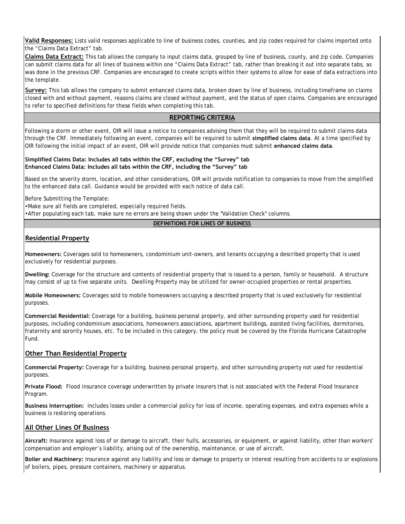**Valid Responses:** Lists valid responses applicable to line of business codes, counties, and zip codes required for claims imported onto the "Claims Data Extract" tab.

**Claims Data Extract:** This tab allows the company to input claims data, grouped by line of business, county, and zip code. Companies can submit claims data for all lines of business within one "Claims Data Extract" tab, rather than breaking it out into separate tabs, as was done in the previous CRF. Companies are encouraged to create scripts within their systems to allow for ease of data extractions into the template.

**Survey:** This tab allows the company to submit enhanced claims data, broken down by line of business, including timeframe on claims closed with and without payment, reasons claims are closed without payment, and the status of open claims. Companies are encouraged to refer to specified definitions for these fields when completing this tab.

#### **REPORTING CRITERIA**

Following a storm or other event, OIR will issue a notice to companies advising them that they will be required to submit claims data through the CRF. Immediately following an event, companies will be required to submit **simplified claims data**. At a time specified by OIR following the initial impact of an event, OIR will provide notice that companies must submit **enhanced claims data**.

#### **Simplified Claims Data: Includes all tabs within the CRF, excluding the "Survey" tab Enhanced Claims Data: Includes all tabs within the CRF, including the "Survey" tab**

Based on the severity storm, location, and other considerations, OIR will provide notification to companies to move from the simplified to the enhanced data call. Guidance would be provided with each notice of data call.

Before Submitting the Template:

•Make sure all fields are completed, especially required fields.

•After populating each tab, make sure no errors are being shown under the "Validation Check" columns.

#### **DEFINITIONS FOR LINES OF BUSINESS**

## **Residential Property**

**Homeowners:** Coverages sold to homeowners, condominium unit-owners, and tenants occupying a described property that is used exclusively for residential purposes.

**Dwelling:** Coverage for the structure and contents of residential property that is issued to a person, family or household. A structure may consist of up to five separate units. Dwelling Property may be utilized for owner-occupied properties or rental properties.

**Mobile Homeowners:** Coverages sold to mobile homeowners occupying a described property that is used exclusively for residential purposes.

**Commercial Residential:** Coverage for a building, business personal property, and other surrounding property used for residential purposes, including condominium associations, homeowners associations, apartment buildings, assisted living facilities, dormitories, fraternity and sorority houses, etc. To be included in this category, the policy must be covered by the Florida Hurricane Catastrophe Fund.

#### **Other Than Residential Property**

**Commercial Property:** Coverage for a building, business personal property, and other surrounding property not used for residential purposes.

**Private Flood:** Flood insurance coverage underwritten by private insurers that is not associated with the Federal Flood Insurance Program.

**Business Interruption:** Includes losses under a commercial policy for loss of income, operating expenses, and extra expenses while a business is restoring operations.

## **All Other Lines Of Business**

**Aircraft:** Insurance against loss of or damage to aircraft, their hulls, accessories, or equipment, or against liability, other than workers' compensation and employer's liability, arising out of the ownership, maintenance, or use of aircraft.

**Boiler and Machinery:** Insurance against any liability and loss or damage to property or interest resulting from accidents to or explosions of boilers, pipes, pressure containers, machinery or apparatus.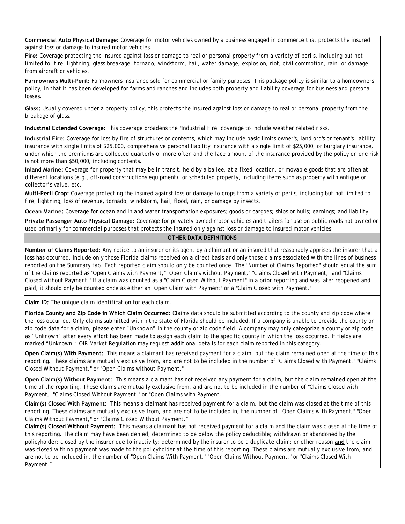**Commercial Auto Physical Damage:** Coverage for motor vehicles owned by a business engaged in commerce that protects the insured against loss or damage to insured motor vehicles.

**Fire:** Coverage protecting the insured against loss or damage to real or personal property from a variety of perils, including but not limited to, fire, lightning, glass breakage, tornado, windstorm, hail, water damage, explosion, riot, civil commotion, rain, or damage from aircraft or vehicles.

**Farmowners Multi-Peril:** Farmowners insurance sold for commercial or family purposes. This package policy is similar to a homeowners policy, in that it has been developed for farms and ranches and includes both property and liability coverage for business and personal losses.

**Glass:** Usually covered under a property policy, this protects the insured against loss or damage to real or personal property from the breakage of glass.

**Industrial Extended Coverage:** This coverage broadens the "Industrial Fire" coverage to include weather related risks.

**Industrial Fire:** Coverage for loss by fire of structures or contents, which may include basic limits owner's, landlord's or tenant's liability insurance with single limits of \$25,000, comprehensive personal liability insurance with a single limit of \$25,000, or burglary insurance, under which the premiums are collected quarterly or more often and the face amount of the insurance provided by the policy on one risk is not more than \$50,000, including contents.

**Inland Marine:** Coverage for property that may be in transit, held by a bailee, at a fixed location, or movable goods that are often at different locations (e.g., off-road constructions equipment), or scheduled property, including items such as property with antique or collector's value, etc.

**Multi-Peril Crop:** Coverage protecting the insured against loss or damage to crops from a variety of perils, including but not limited to fire, lightning, loss of revenue, tornado, windstorm, hail, flood, rain, or damage by insects.

**Ocean Marine:** Coverage for ocean and inland water transportation exposures; goods or cargoes; ships or hulls; earnings; and liability.

**Private Passenger Auto Physical Damage:** Coverage for privately owned motor vehicles and trailers for use on public roads not owned or used primarily for commercial purposes that protects the insured only against loss or damage to insured motor vehicles.

#### **OTHER DATA DEFINITIONS**

**Number of Claims Reported:** Any notice to an insurer or its agent by a claimant or an insured that reasonably apprises the insurer that a loss has occurred. Include only those Florida claims received on a direct basis and only those claims associated with the lines of business reported on the Summary tab. Each reported claim should only be counted once. The "Number of Claims Reported" should equal the sum of the claims reported as "Open Claims with Payment," "Open Claims without Payment," "Claims Closed with Payment," and "Claims Closed without Payment." If a claim was counted as a "Claim Closed Without Payment" in a prior reporting and was later reopened and paid, it should only be counted once as either an "Open Claim with Payment" or a "Claim Closed with Payment."

**Claim ID:** The unique claim identification for each claim.

**Florida County and Zip Code in Which Claim Occurred:** Claims data should be submitted according to the county and zip code where the loss occurred. Only claims submitted within the state of Florida should be included. If a company is unable to provide the county or zip code data for a claim, please enter "Unknown" in the county or zip code field. A company may only categorize a county or zip code as "Unknown" after every effort has been made to assign each claim to the specific county in which the loss occurred. If fields are marked "Unknown," OIR Market Regulation may request additional details for each claim reported in this category.

**Open Claim(s) With Payment:** This means a claimant has received payment for a claim, but the claim remained open at the time of this reporting. These claims are mutually exclusive from, and are not to be included in the number of "Claims Closed with Payment," "Claims Closed Without Payment," or "Open Claims without Payment."

**Open Claim(s) Without Payment:** This means a claimant has not received any payment for a claim, but the claim remained open at the time of the reporting. These claims are mutually exclusive from, and are not to be included in the number of "Claims Closed with Payment," "Claims Closed Without Payment," or "Open Claims with Payment."

**Claim(s) Closed With Payment:** This means a claimant has received payment for a claim, but the claim was closed at the time of this reporting. These claims are mutually exclusive from, and are not to be included in, the number of "Open Claims with Payment," "Open Claims Without Payment," or "Claims Closed Without Payment."

**Claim(s) Closed Without Payment:** This means a claimant has not received payment for a claim and the claim was closed at the time of this reporting. The claim may have been denied; determined to be below the policy deductible; withdrawn or abandoned by the policyholder; closed by the insurer due to inactivity; determined by the insurer to be a duplicate claim; or other reason **and** the claim was closed with no payment was made to the policyholder at the time of this reporting. These claims are mutually exclusive from, and are not to be included in, the number of "Open Claims With Payment," "Open Claims Without Payment," or "Claims Closed With Payment."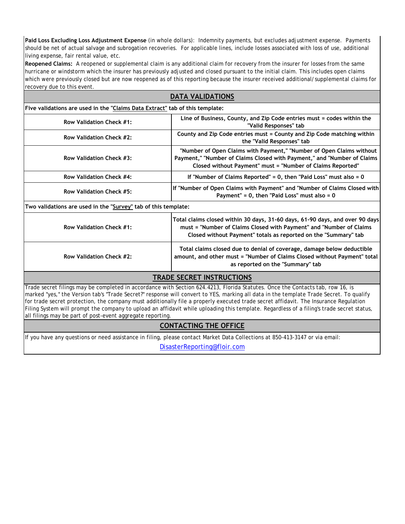**Paid Loss Excluding Loss Adjustment Expense** (in whole dollars): Indemnity payments, but excludes adjustment expense. Payments should be net of actual salvage and subrogation recoveries. For applicable lines, include losses associated with loss of use, additional living expense, fair rental value, etc.

**Reopened Claims:** A reopened or supplemental claim is any additional claim for recovery from the insurer for losses from the same hurricane or windstorm which the insurer has previously adjusted and closed pursuant to the initial claim. This includes open claims which were previously closed but are now reopened as of this reporting because the insurer received additional/supplemental claims for recovery due to this event.

| <b>DATA VALIDATIONS</b>                                                      |                                                                                                                                                                                                                        |  |  |  |  |  |  |  |  |
|------------------------------------------------------------------------------|------------------------------------------------------------------------------------------------------------------------------------------------------------------------------------------------------------------------|--|--|--|--|--|--|--|--|
| Five validations are used in the "Claims Data Extract" tab of this template: |                                                                                                                                                                                                                        |  |  |  |  |  |  |  |  |
| <b>Row Validation Check #1:</b>                                              | Line of Business, County, and Zip Code entries must = codes within the<br>"Valid Responses" tab                                                                                                                        |  |  |  |  |  |  |  |  |
| Row Validation Check #2:                                                     | County and Zip Code entries must = County and Zip Code matching within<br>the "Valid Responses" tab                                                                                                                    |  |  |  |  |  |  |  |  |
| Row Validation Check #3:                                                     | "Number of Open Claims with Payment," "Number of Open Claims without<br>Payment," "Number of Claims Closed with Payment," and "Number of Claims<br>Closed without Payment" must = "Number of Claims Reported"          |  |  |  |  |  |  |  |  |
| Row Validation Check #4:                                                     | If "Number of Claims Reported" = $0$ , then "Paid Loss" must also = $0$                                                                                                                                                |  |  |  |  |  |  |  |  |
| Row Validation Check #5:                                                     | If "Number of Open Claims with Payment" and "Number of Claims Closed with<br>Payment" = $0$ , then "Paid Loss" must also = $0$                                                                                         |  |  |  |  |  |  |  |  |
| Two validations are used in the "Survey" tab of this template:               |                                                                                                                                                                                                                        |  |  |  |  |  |  |  |  |
| Row Validation Check #1:                                                     | Total claims closed within 30 days, 31-60 days, 61-90 days, and over 90 days<br>must = "Number of Claims Closed with Payment" and "Number of Claims<br>Closed without Payment" totals as reported on the "Summary" tab |  |  |  |  |  |  |  |  |
| Row Validation Check #2:                                                     | Total claims closed due to denial of coverage, damage below deductible<br>amount, and other must = "Number of Claims Closed without Payment" total<br>as reported on the "Summary" tab                                 |  |  |  |  |  |  |  |  |
|                                                                              | <b>TRADE SECRET INSTRUCTIONS</b>                                                                                                                                                                                       |  |  |  |  |  |  |  |  |
|                                                                              | Trade secret filings may be completed in accordance with Section 624.4213, Florida Statutes. Once the Contacts tab, row 16, is                                                                                         |  |  |  |  |  |  |  |  |

Filing System will prompt the company to upload an affidavit while uploading this template. Regardless of a filing's trade secret status, marked "yes," the Version tab's "Trade Secret?" response will convert to YES, marking all data in the template Trade Secret. To qualify for trade secret protection, the company must additionally file a properly executed trade secret affidavit. The Insurance Regulation all filings may be part of post-event aggregate reporting.

## **CONTACTING THE OFFICE**

If you have any questions or need assistance in filing, please contact Market Data Collections at 850-413-3147 or via email:

DisasterReporting@floir.com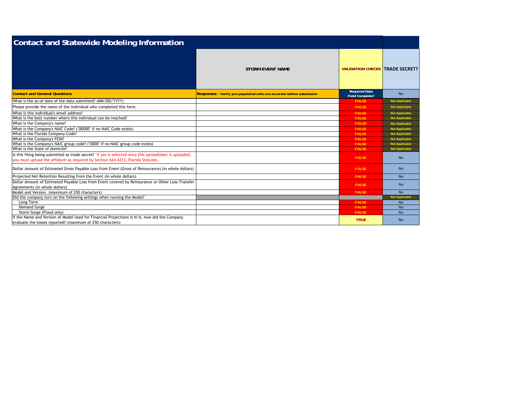| <b>Contact and Statewide Modeling Information</b>                                                                                                                                         |                                                                       |                                                |                       |
|-------------------------------------------------------------------------------------------------------------------------------------------------------------------------------------------|-----------------------------------------------------------------------|------------------------------------------------|-----------------------|
|                                                                                                                                                                                           | <b>STORM EVENT NAME</b>                                               | <b>VALIDATION CHECKS TRADE SECRET?</b>         |                       |
| <b>Contact and General Questions</b>                                                                                                                                                      | Responses - Verify pre-populated cells are accurate before submission | <b>Required Data</b><br><b>Field Complete?</b> | <b>No</b>             |
| What is the as-of date of the data submitted? (MM/DD/YYYY)                                                                                                                                |                                                                       | FALSE                                          | <b>Not Applicable</b> |
| Please provide the name of the individual who completed this form.                                                                                                                        |                                                                       | <b>FALSE</b>                                   | <b>Not Applicable</b> |
| What is this individual's email address?                                                                                                                                                  |                                                                       | FALSE                                          | <b>Not Applicable</b> |
| What is the best number where this individual can be reached?                                                                                                                             |                                                                       | <b>FALSE</b>                                   | <b>Not Applicable</b> |
| What is the Company's name?                                                                                                                                                               |                                                                       | <b>FALSE</b>                                   | <b>Not Applicable</b> |
| What is the Company's NAIC Code? ("00000" if no NAIC Code exists)                                                                                                                         |                                                                       | FALSE                                          | <b>Not Applicable</b> |
| What is the Florida Company Code?                                                                                                                                                         |                                                                       | <b>FALSE</b>                                   | <b>Not Applicable</b> |
| What is the Company's FEIN?                                                                                                                                                               |                                                                       | <b>FALSE</b>                                   | <b>Not Applicable</b> |
| What is the Company's NAIC group code? ("0000" if no NAIC group code exists)                                                                                                              |                                                                       | <b>FALSE</b>                                   | <b>Not Applicable</b> |
| What is the State of domicile?                                                                                                                                                            |                                                                       | <b>FALSE</b>                                   | <b>Not Applicable</b> |
| Is this filing being submitted as trade secret? If yes is selected once this spreadsheet is uploaded,<br>you must upload the affidavit as required by Section 624.4213, Florida Statutes. |                                                                       | FALSE                                          | <b>No</b>             |
| Dollar Amount of Estimated Gross Payable Loss from Event (Gross of Reinsurance) (in whole dollars)                                                                                        |                                                                       | FALSE                                          | <b>No</b>             |
| Projected Net Retention Resulting from the Event (in whole dollars)                                                                                                                       |                                                                       | <b>FALSE</b>                                   | <b>No</b>             |
| Dollar Amount of Estimated Payable Loss from Event covered by Reinsurance or Other Loss-Transfer<br>Agreements (in whole dollars)                                                         |                                                                       | <b>FALSE</b>                                   | <b>No</b>             |
| Model and Version. (maximum of 250 characters)                                                                                                                                            |                                                                       | FALSE                                          | No.                   |
| Did the company turn on the following settings when running the Model?                                                                                                                    |                                                                       |                                                | <b>Not Applicable</b> |
| Long-Term                                                                                                                                                                                 |                                                                       | FALSE                                          | <b>No</b>             |
| Demand Surge                                                                                                                                                                              |                                                                       | FALSE                                          | <b>No</b>             |
| Storm Surge (Flood only)                                                                                                                                                                  |                                                                       | FALSE                                          | <b>No</b>             |
| If the Name and Version of Model Used for Financial Projections is N/A, how did the Company<br>evaluate the losses reported? (maximum of 250 characters)                                  |                                                                       | <b>TRUE</b>                                    | <b>No</b>             |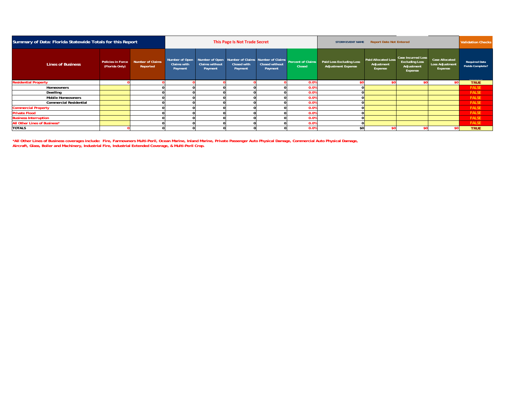| Summary of Data: Florida Statewide Totals for this Report |                                            |                              | This Page Is Not Trade Secret            |                                             |                        |                                  |                                                                      | <b>Validation Checks</b><br><b>Report Date Not Entered</b><br><b>STORM EVENT NAME</b> |                                                     |                                                                             |                                                     |                                                 |
|-----------------------------------------------------------|--------------------------------------------|------------------------------|------------------------------------------|---------------------------------------------|------------------------|----------------------------------|----------------------------------------------------------------------|---------------------------------------------------------------------------------------|-----------------------------------------------------|-----------------------------------------------------------------------------|-----------------------------------------------------|-------------------------------------------------|
| <b>Lines of Business</b>                                  | <b>Policies in Force</b><br>(Florida Only) | Number of Claims<br>Reported | Number of Open<br>Claims with<br>Payment | Number of Open<br>Claims without<br>Payment | Closed with<br>Payment | <b>Closed without</b><br>Payment | Number of Claims Number of Claims Percent of Claims<br><b>Closed</b> | Paid Loss Excluding Loss<br><b>Adjustment Expense</b>                                 | <b>Paid Allocated Loss</b><br>Adjustment<br>Expense | <b>Case Incurred Loss</b><br><b>Excluding Loss</b><br>Adjustment<br>Expense | <b>Case Allocated</b><br>Loss Adjustment<br>Expense | <b>Required Data</b><br><b>Fields Complete?</b> |
| <b>Residential Property</b>                               |                                            |                              |                                          |                                             |                        |                                  | 0.09                                                                 |                                                                                       |                                                     |                                                                             |                                                     | <b>TRUE</b>                                     |
| Homeowners                                                |                                            |                              |                                          |                                             |                        |                                  | 0.09                                                                 |                                                                                       |                                                     |                                                                             |                                                     | FALSE                                           |
| Dwelling                                                  |                                            |                              |                                          |                                             |                        |                                  | 0.09                                                                 |                                                                                       |                                                     |                                                                             |                                                     | FALSE                                           |
| <b>Mobile Homeowners</b>                                  |                                            |                              |                                          |                                             |                        |                                  | 0.0%                                                                 |                                                                                       |                                                     |                                                                             |                                                     | FALSE                                           |
| <b>Commercial Residential</b>                             |                                            |                              |                                          |                                             |                        |                                  | 0.09                                                                 |                                                                                       |                                                     |                                                                             |                                                     | FALSE                                           |
| <b>Commercial Property</b>                                |                                            |                              |                                          |                                             |                        |                                  | 0.09                                                                 |                                                                                       |                                                     |                                                                             |                                                     | <b>FALSE</b>                                    |
| <b>Private Flood</b>                                      |                                            |                              |                                          |                                             |                        |                                  | 0.0%                                                                 |                                                                                       |                                                     |                                                                             |                                                     | <b>FALSE</b>                                    |
| <b>Business Interruption</b>                              |                                            |                              |                                          |                                             |                        |                                  | 0.0%                                                                 |                                                                                       |                                                     |                                                                             |                                                     | FALSE                                           |
| All Other Lines of Business*                              |                                            |                              |                                          |                                             |                        |                                  | 0.0%                                                                 |                                                                                       |                                                     |                                                                             |                                                     | <b>FALSE</b>                                    |
| <b>TOTALS</b>                                             |                                            |                              |                                          |                                             |                        |                                  | 0.0%                                                                 | \$0                                                                                   |                                                     |                                                                             |                                                     | <b>TRUE</b>                                     |

\*All Other Lines of Business coverages include: Fire, Farmowners Multi-Peril, Ocean Marine, Inland Marine, Private Passenger Auto Physical Damage, Commercial Auto Physical Damage,<br>Aircraft, Glass, Boiler and Machinery, Ind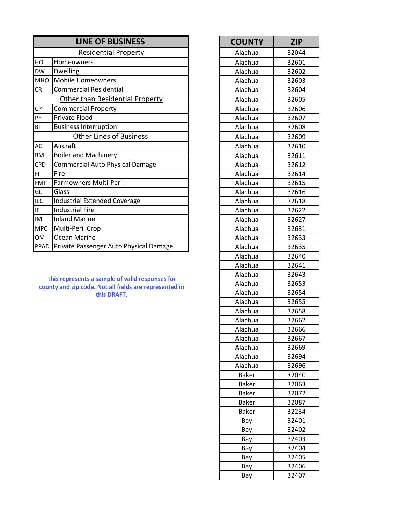|            | <b>LINE OF BUSINESS</b>                | <b>COUNTY</b> | <b>ZIP</b> |
|------------|----------------------------------------|---------------|------------|
|            | <b>Residential Property</b>            | Alachua       | 32044      |
| HO         | Homeowners                             | Alachua       | 32601      |
| <b>DW</b>  | Dwelling                               | Alachua       | 32602      |
| <b>MHO</b> | Mobile Homeowners                      | Alachua       | 32603      |
| CR         | <b>Commercial Residential</b>          | Alachua       | 32604      |
|            | Other than Residential Property        | Alachua       | 32605      |
| <b>CP</b>  | <b>Commercial Property</b>             | Alachua       | 32606      |
| PF         | Private Flood                          | Alachua       | 32607      |
| BI         | <b>Business Interruption</b>           | Alachua       | 32608      |
|            | <b>Other Lines of Business</b>         | Alachua       | 32609      |
| <b>AC</b>  | Aircraft                               | Alachua       | 32610      |
| <b>BM</b>  | <b>Boiler and Machinery</b>            | Alachua       | 32611      |
| <b>CPD</b> | <b>Commercial Auto Physical Damage</b> | Alachua       | 32612      |
| FI         | Fire                                   | Alachua       | 32614      |
| <b>FMP</b> | Farmowners Multi-Peril                 | Alachua       | 32615      |
| GL         | Glass                                  | Alachua       | 32616      |
| <b>IEC</b> | <b>Industrial Extended Coverage</b>    | Alachua       | 32618      |
| IF.        | <b>Industrial Fire</b>                 | Alachua       | 32622      |
| IM         | <b>Inland Marine</b>                   | Alachua       | 32627      |
| <b>MPC</b> | Multi-Peril Crop                       | Alachua       | 32631      |
| <b>OM</b>  | Ocean Marine                           | Alachua       | 32633      |
| PPAD       | Private Passenger Auto Physical Damage | Alachua       | 32635      |

**This represents a sample of valid responses for county and zip code. Not all fields are represented in this DRAFT.**

| <b>COUNTY</b> | <b>ZIP</b> |
|---------------|------------|
| Alachua       | 32044      |
| Alachua       | 32601      |
| Alachua       | 32602      |
| Alachua       | 32603      |
| Alachua       | 32604      |
| Alachua       | 32605      |
| Alachua       | 32606      |
| Alachua       | 32607      |
| Alachua       | 32608      |
| Alachua       | 32609      |
| Alachua       | 32610      |
| Alachua       | 32611      |
| Alachua       | 32612      |
| Alachua       | 32614      |
| Alachua       | 32615      |
| Alachua       | 32616      |
| Alachua       | 32618      |
| Alachua       | 32622      |
| Alachua       | 32627      |
| Alachua       | 32631      |
| Alachua       | 32633      |
| Alachua       | 32635      |
| Alachua       | 32640      |
| Alachua       | 32641      |
| Alachua       | 32643      |
| Alachua       | 32653      |
| Alachua       | 32654      |
| Alachua       | 32655      |
| Alachua       | 32658      |
| Alachua       | 32662      |
| Alachua       | 32666      |
| Alachua       | 32667      |
| Alachua       | 32669      |
| Alachua       | 32694      |
| Alachua       | 32696      |
| <b>Baker</b>  | 32040      |
| <b>Baker</b>  | 32063      |
| <b>Baker</b>  | 32072      |
| <b>Baker</b>  | 32087      |
| <b>Baker</b>  | 32234      |
| Bay           | 32401      |
| Bay           | 32402      |
| Bay           | 32403      |
| Bay           | 32404      |
| Bay           | 32405      |
| Bay           | 32406      |
| Bay           | 32407      |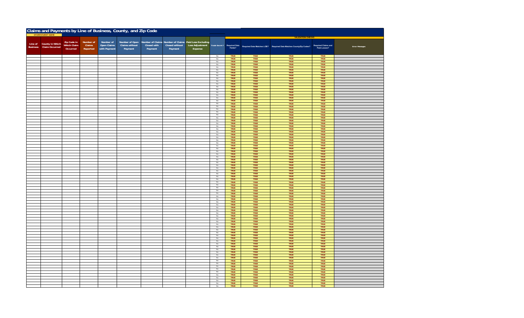|  | Claims and Payments by Line of Business, County, and Zip Code |                    |           |              |                       |             |                |                                                       |                              |              |              |                                                                                  |                                     |                       |
|--|---------------------------------------------------------------|--------------------|-----------|--------------|-----------------------|-------------|----------------|-------------------------------------------------------|------------------------------|--------------|--------------|----------------------------------------------------------------------------------|-------------------------------------|-----------------------|
|  |                                                               |                    |           |              |                       |             |                |                                                       |                              |              |              | <b>VAL</b>                                                                       |                                     |                       |
|  |                                                               | Zip Code in        | Number of | Number of    | Number of Open        |             |                | Number of Claims Number of Claims Paid Loss Excluding |                              |              |              |                                                                                  |                                     |                       |
|  | Line of County in Which                                       | <b>Which Claim</b> | Claims    | Open Claims  | <b>Claims without</b> | Closed with | Closed without | Loss Adjustment                                       | Trade Secret?                |              |              |                                                                                  |                                     |                       |
|  | Business Claim Occurred                                       | Occurred           | Reported  | with Payment | Payment               | Payment     | Payment        | Expense                                               |                              |              |              | Required Data Required Data Matches LOB? Required Data Matches County/Zip Codes? | Required Claims and<br>Paid Losses? | <b>Error Messages</b> |
|  |                                                               |                    |           |              |                       |             |                |                                                       |                              |              |              |                                                                                  |                                     |                       |
|  |                                                               |                    |           |              |                       |             |                |                                                       | $\mathsf{No}$                | TRUE         | TRUE         | TRUE                                                                             | TRUE                                |                       |
|  |                                                               |                    |           |              |                       |             |                |                                                       | $\mathsf{No}$                | TRUE         | TRUE         | TRUE                                                                             | TRUE                                |                       |
|  |                                                               |                    |           |              |                       |             |                |                                                       | No                           | TRUE         | TRUE         | TRUE                                                                             | TRUE<br>TRUE                        |                       |
|  |                                                               |                    |           |              |                       |             |                |                                                       | $_{\sf No}$                  | TRUE         | TRUE         | TRUE                                                                             |                                     |                       |
|  |                                                               |                    |           |              |                       |             |                |                                                       | No<br>$_{\rm No}$            | TRUE<br>TRUE | TRUE<br>TRUE | TRUE<br>TRUE                                                                     | TRUE<br>TRUE                        |                       |
|  |                                                               |                    |           |              |                       |             |                |                                                       | No                           | TRUE         | TRUE         | TRUE                                                                             | TRUE                                |                       |
|  |                                                               |                    |           |              |                       |             |                |                                                       | $_{\sf No}$                  | TRUE         | TRUF         | TRUF                                                                             | TRUE                                |                       |
|  |                                                               |                    |           |              |                       |             |                |                                                       | $_{\sf No}$                  | TRUE         | TRUE         | TRUE                                                                             | TRUE                                |                       |
|  |                                                               |                    |           |              |                       |             |                |                                                       | No                           | TRUE         | TRUE         | TRUE                                                                             | TRUE                                |                       |
|  |                                                               |                    |           |              |                       |             |                |                                                       | No                           | TRUE<br>TRUE | TRUE<br>TRUE | TRUE<br>TRUE                                                                     | TRUE<br>TRUE                        |                       |
|  |                                                               |                    |           |              |                       |             |                |                                                       | $_{\sf No}$<br>$\mathsf{No}$ | TRUE         | TRUE         | TRUE                                                                             | TRUE                                |                       |
|  |                                                               |                    |           |              |                       |             |                |                                                       | No                           | TRUE         | TRUE         | TRUE                                                                             | TRUE                                |                       |
|  |                                                               |                    |           |              |                       |             |                |                                                       | No                           | TRUE<br>TRUE | TRUE<br>TRUE | TRUE<br>TRUE                                                                     | TRUE<br>TRUE                        |                       |
|  |                                                               |                    |           |              |                       |             |                |                                                       | No                           |              |              |                                                                                  |                                     |                       |
|  |                                                               |                    |           |              |                       |             |                |                                                       | $_{\sf No}$<br>$_{\rm No}$   | TRUE<br>TRUE | TRUE<br>TRUE | TRUE<br>TRUE                                                                     | TRUE<br>TRUE                        |                       |
|  |                                                               |                    |           |              |                       |             |                |                                                       | No                           | TRUE         | TRUE         | TRUE                                                                             | TRUE                                |                       |
|  |                                                               |                    |           |              |                       |             |                |                                                       | No                           | TRUE         | TRUE         | TRUE                                                                             | <b>TRUE</b>                         |                       |
|  |                                                               |                    |           |              |                       |             |                |                                                       | $\mathsf{No}$                | TRUE         | TRUE         | TRUE                                                                             | TRUE                                |                       |
|  |                                                               |                    |           |              |                       |             |                |                                                       | No                           | TRUE         | TRUE         | TRUE                                                                             | TRUE                                |                       |
|  |                                                               |                    |           |              |                       |             |                |                                                       | No                           | TRUE<br>TRUE | TRUE<br>TRUE | TRUE<br>TRUE                                                                     | TRUE<br>TRUE                        |                       |
|  |                                                               |                    |           |              |                       |             |                |                                                       | No<br>No                     | TRUE         | TRUE         | TRUE                                                                             | TRUE                                |                       |
|  |                                                               |                    |           |              |                       |             |                |                                                       | No                           | TRUE         | TRUE         | TRUE                                                                             | TRUE                                |                       |
|  |                                                               |                    |           |              |                       |             |                |                                                       | No                           | TRUE         | TRUE         | TRUE                                                                             | TRUE                                |                       |
|  |                                                               |                    |           |              |                       |             |                |                                                       | No                           | TRUE         | TRUE         | TRUE                                                                             | TRUE                                |                       |
|  |                                                               |                    |           |              |                       |             |                |                                                       | $_{\sf No}$                  | TRUE         | TRUE         | <b>TRUE</b>                                                                      | TRUE                                |                       |
|  |                                                               |                    |           |              |                       |             |                |                                                       | No<br>No                     | TRUE<br>TRUE | TRUE<br>TRUE | TRUE<br>TRUE                                                                     | TRUE<br>TRUE                        |                       |
|  |                                                               |                    |           |              |                       |             |                |                                                       | No                           | TRUE         | TRUE         | TRUE                                                                             | TRUE                                |                       |
|  |                                                               |                    |           |              |                       |             |                |                                                       | $_{\sf No}$                  | TRUE         | TRUE         | TRUE                                                                             | TRUE                                |                       |
|  |                                                               |                    |           |              |                       |             |                |                                                       | $\mathsf{No}$                | TRUE         | TRUE         | TRUE                                                                             | TRUE                                |                       |
|  |                                                               |                    |           |              |                       |             |                |                                                       | No                           | TRUE         | TRUE         | TRUE                                                                             | TRUE                                |                       |
|  |                                                               |                    |           |              |                       |             |                |                                                       | $_{\sf No}$                  | TRUE<br>TRUE | TRUE<br>TRUE | TRUE<br>TRUE                                                                     | TRUE<br>TRUE                        |                       |
|  |                                                               |                    |           |              |                       |             |                |                                                       | $\mathsf{No}$<br>No          | TRUE         | TRUE         | TRUE                                                                             | TRUE                                |                       |
|  |                                                               |                    |           |              |                       |             |                |                                                       | No                           | TRUE         | TRUE         | TRUE                                                                             | TRUE                                |                       |
|  |                                                               |                    |           |              |                       |             |                |                                                       | No.                          | TRUE         | TRUE         | TRUE                                                                             | TRUE                                |                       |
|  |                                                               |                    |           |              |                       |             |                |                                                       | No                           | TRUE         | TRUE         | TRUE                                                                             | TRUE                                |                       |
|  |                                                               |                    |           |              |                       |             |                |                                                       | $_{\rm No}$                  | TRUE         | TRUE         | TRUE                                                                             | TRUE                                |                       |
|  |                                                               |                    |           |              |                       |             |                |                                                       | No<br>No                     | TRUE<br>TRUE | TRUE<br>TRUE | TRUE<br>TRUE                                                                     | TRUE<br>TRUE                        |                       |
|  |                                                               |                    |           |              |                       |             |                |                                                       | No                           | TRUE         | TRUE         | <b>TRUE</b>                                                                      | TRUE                                |                       |
|  |                                                               |                    |           |              |                       |             |                |                                                       | No                           | TRUE         | TRUE         | TRUE                                                                             | TRUE                                |                       |
|  |                                                               |                    |           |              |                       |             |                |                                                       | $_{\rm No}$                  | TRUE         | TRUE         | TRUE                                                                             | TRUE                                |                       |
|  |                                                               |                    |           |              |                       |             |                |                                                       | No                           | TRUE         | TRUE         | TRUE                                                                             | TRUE                                |                       |
|  |                                                               |                    |           |              |                       |             |                |                                                       | $_{\sf No}$                  | TRUE         | TRUE         | TRUE                                                                             | TRUE                                |                       |
|  |                                                               |                    |           |              |                       |             |                |                                                       | No<br>No                     | TRUE<br>TRUE | TRUE<br>TRUE | TRUE<br>TRUE                                                                     | TRUE<br>TRUE                        |                       |
|  |                                                               |                    |           |              |                       |             |                |                                                       | No                           | TRUE         | TRUE         | TRUE                                                                             | TRUE                                |                       |
|  |                                                               |                    |           |              |                       |             |                |                                                       | $_{\sf No}$                  | TRUE         | <b>TRUE</b>  | TRUF                                                                             | TRUE                                |                       |
|  |                                                               |                    |           |              |                       |             |                |                                                       | $_{\rm No}$                  | TRUE         | TRUE         | TRUE                                                                             | TRUE                                |                       |
|  |                                                               |                    |           |              |                       |             |                |                                                       | No<br>No                     | TRUE<br>TRUE | TRUE         | TRUE<br>TRUE                                                                     | TRUE                                |                       |
|  |                                                               |                    |           |              |                       |             |                |                                                       | No                           | TRUE         | TRUE<br>TRUE | TRUE                                                                             | TRUE<br>TRUE                        |                       |
|  |                                                               |                    |           |              |                       |             |                |                                                       | No                           | TRUE         | TRUE         | TRUE                                                                             | TRUE                                |                       |
|  |                                                               |                    |           |              |                       |             |                |                                                       | $_{\rm No}$                  | TRUE         | TRUE         | TRUE                                                                             | TRUE                                |                       |
|  |                                                               |                    |           |              |                       |             |                |                                                       | No                           | TRUE<br>TRUE | TRUE<br>TRUE | TRUE<br>TRUE                                                                     | TRUE<br>TRUE                        |                       |
|  |                                                               |                    |           |              |                       |             |                |                                                       | No                           |              |              |                                                                                  |                                     |                       |
|  |                                                               |                    |           |              |                       |             |                |                                                       | $_{\sf No}$<br>No            | TRUE<br>TRUE | TRUE<br>TRUE | TRUE<br>TRUE                                                                     | TRUE<br>TRUE                        |                       |
|  |                                                               |                    |           |              |                       |             |                |                                                       | No                           | TRUE         | TRUE         | TRUE                                                                             | TRUE                                |                       |
|  |                                                               |                    |           |              |                       |             |                |                                                       | No                           | TRUE         | <b>TRUE</b>  | <b>TRUE</b>                                                                      | <b>TRUE</b>                         |                       |
|  |                                                               |                    |           |              |                       |             |                |                                                       | $\mathsf{No}$                | TRUE         | TRUE         | TRUE                                                                             | TRUE                                |                       |
|  |                                                               |                    |           |              |                       |             |                |                                                       | $\mathsf{No}$                | TRUE         | TRUE         | TRUE                                                                             | TRUE                                |                       |
|  |                                                               |                    |           |              |                       |             |                |                                                       | No                           | TRUE<br>TRUE | TRUE<br>TRUE | TRUE<br>TRUE                                                                     | TRUE<br>TRUE                        |                       |
|  |                                                               |                    |           |              |                       |             |                |                                                       | No<br>No                     | TRUE         | TRUE         | TRUE                                                                             | TRUE                                |                       |
|  |                                                               |                    |           |              |                       |             |                |                                                       | $_{\rm No}$                  | TRUE         | TRUE         | TRUE                                                                             | TRUE                                |                       |
|  |                                                               |                    |           |              |                       |             |                |                                                       | No                           | TRUE         | TRUE         | TRUE                                                                             | TRUE                                |                       |
|  |                                                               |                    |           |              |                       |             |                |                                                       | No                           | TRUE         | TRUE         | TRUE                                                                             | TRUE                                |                       |
|  |                                                               |                    |           |              |                       |             |                |                                                       | $_{\rm No}$                  | TRUE         | TRUE         | <b>TRUE</b>                                                                      | TRUE                                |                       |
|  |                                                               |                    |           |              |                       |             |                |                                                       | No                           | TRUE<br>TRUE | TRUE         | TRUE                                                                             | TRUE                                |                       |
|  |                                                               |                    |           |              |                       |             |                |                                                       | No<br>No                     | TRUE         | TRUE<br>TRUE | TRUE<br>TRUE                                                                     | TRUE<br>TRUE                        |                       |
|  |                                                               |                    |           |              |                       |             |                |                                                       | $\mathsf{No}$                | TRUE         | TRUE         | TRUE                                                                             | TRUE                                |                       |
|  |                                                               |                    |           |              |                       |             |                |                                                       | No                           | TRUE         | TRUE         | TRUE                                                                             | TRUE                                |                       |
|  |                                                               |                    |           |              |                       |             |                |                                                       | No                           | TRUE         | TRUE         | TRUE                                                                             | TRUE                                |                       |
|  |                                                               |                    |           |              |                       |             |                |                                                       | No                           | TRUE<br>TRUE | TRUE         | TRUE                                                                             | TRUE<br>TRUE                        |                       |
|  |                                                               |                    |           |              |                       |             |                |                                                       | $_{\sf No}$<br>No            | TRUF         | TRUE<br>TRUF | TRUE<br>TRUF                                                                     | TRUF                                |                       |